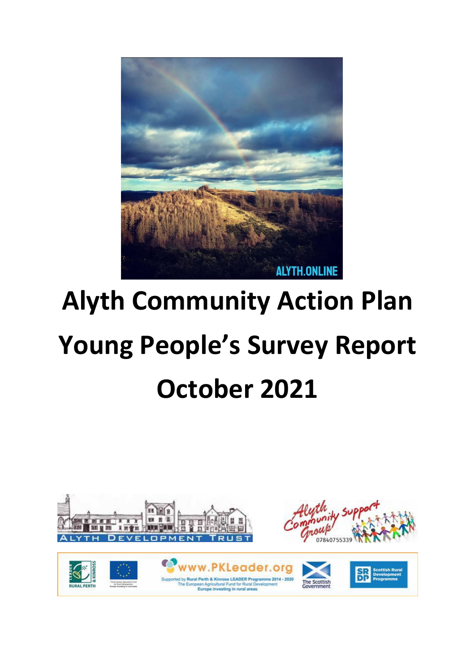

# **Alyth Community Action Plan Young People's Survey Report October 2021**

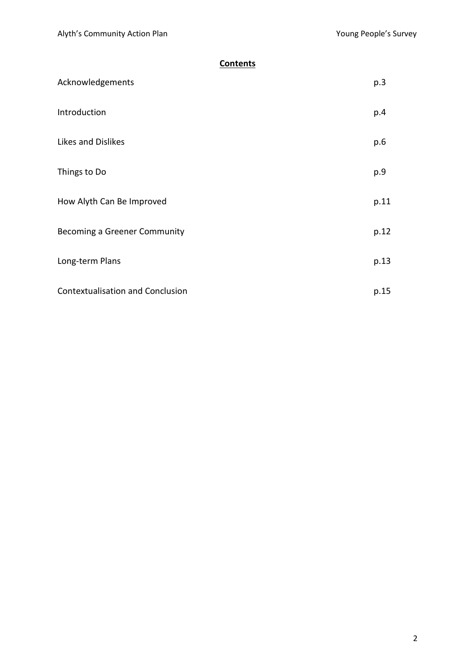# **Contents**

| Acknowledgements                        | p.3  |
|-----------------------------------------|------|
| Introduction                            | p.4  |
| Likes and Dislikes                      | p.6  |
| Things to Do                            | p.9  |
| How Alyth Can Be Improved               | p.11 |
| Becoming a Greener Community            | p.12 |
| Long-term Plans                         | p.13 |
| <b>Contextualisation and Conclusion</b> | p.15 |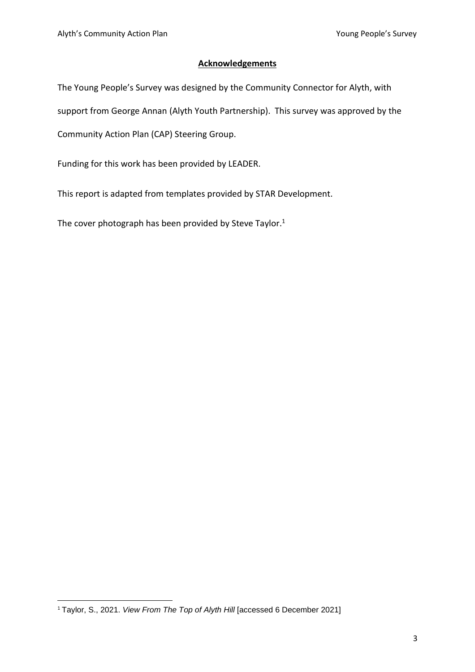#### **Acknowledgements**

The Young People's Survey was designed by the Community Connector for Alyth, with support from George Annan (Alyth Youth Partnership). This survey was approved by the Community Action Plan (CAP) Steering Group.

Funding for this work has been provided by LEADER.

This report is adapted from templates provided by STAR Development.

The cover photograph has been provided by Steve Taylor.<sup>1</sup>

<sup>1</sup> Taylor, S., 2021. *View From The Top of Alyth Hill* [accessed 6 December 2021]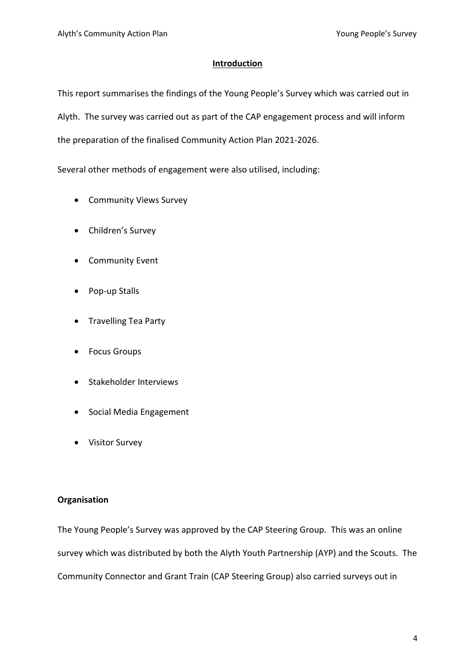## **Introduction**

This report summarises the findings of the Young People's Survey which was carried out in Alyth. The survey was carried out as part of the CAP engagement process and will inform the preparation of the finalised Community Action Plan 2021-2026.

Several other methods of engagement were also utilised, including:

- Community Views Survey
- Children's Survey
- Community Event
- Pop-up Stalls
- Travelling Tea Party
- Focus Groups
- Stakeholder Interviews
- Social Media Engagement
- Visitor Survey

## **Organisation**

The Young People's Survey was approved by the CAP Steering Group. This was an online survey which was distributed by both the Alyth Youth Partnership (AYP) and the Scouts. The Community Connector and Grant Train (CAP Steering Group) also carried surveys out in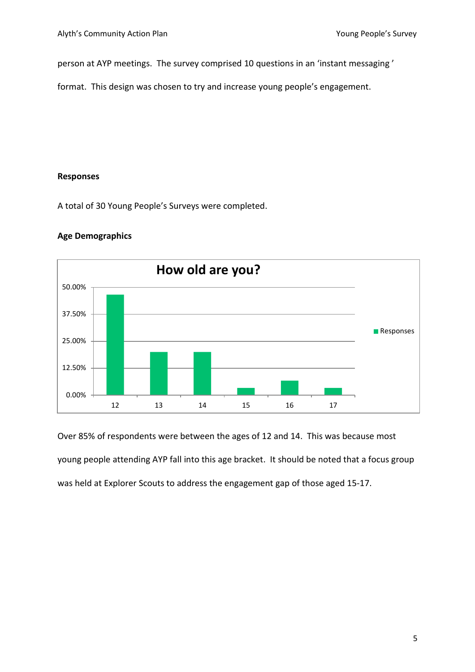person at AYP meetings. The survey comprised 10 questions in an 'instant messaging '

format. This design was chosen to try and increase young people's engagement.

#### **Responses**

A total of 30 Young People's Surveys were completed.



# **Age Demographics**

Over 85% of respondents were between the ages of 12 and 14. This was because most young people attending AYP fall into this age bracket. It should be noted that a focus group was held at Explorer Scouts to address the engagement gap of those aged 15-17.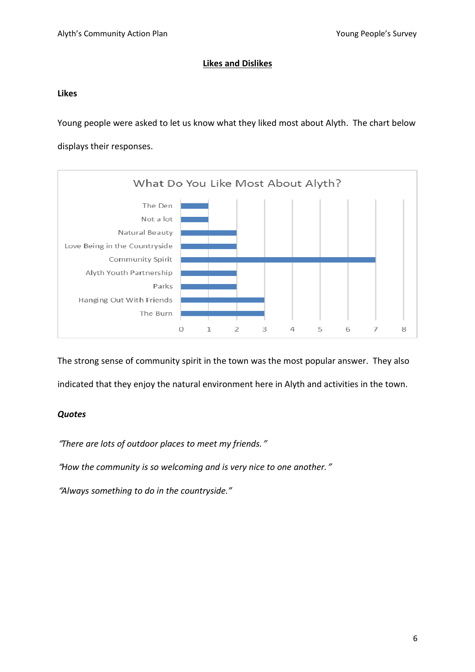## **Likes and Dislikes**

#### **Likes**

Young people were asked to let us know what they liked most about Alyth. The chart below displays their responses.



The strong sense of community spirit in the town was the most popular answer. They also indicated that they enjoy the natural environment here in Alyth and activities in the town.

## *Quotes*

"*There are lots of outdoor places to meet my friends.*"

"*How the community is so welcoming and is very nice to one another.*"

"*Always something to do in the countryside."*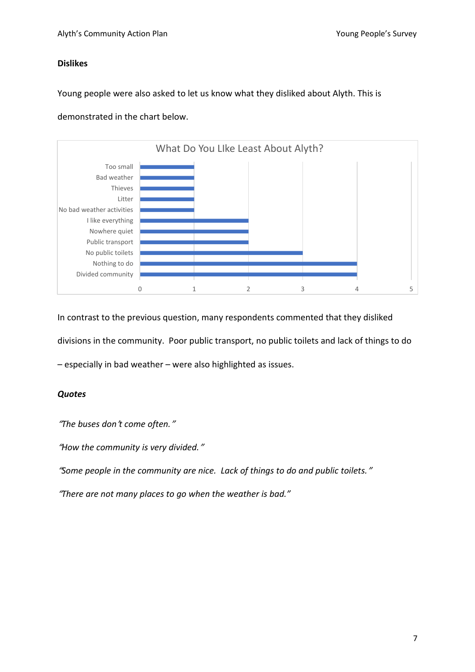## **Dislikes**

Young people were also asked to let us know what they disliked about Alyth. This is

demonstrated in the chart below.



In contrast to the previous question, many respondents commented that they disliked divisions in the community. Poor public transport, no public toilets and lack of things to do

– especially in bad weather – were also highlighted as issues.

## *Quotes*

"*The buses don*'*t come often.*"

"*How the community is very divided.*"

"*Some people in the community are nice. Lack of things to do and public toilets.*"

"*There are not many places to go when the weather is bad."*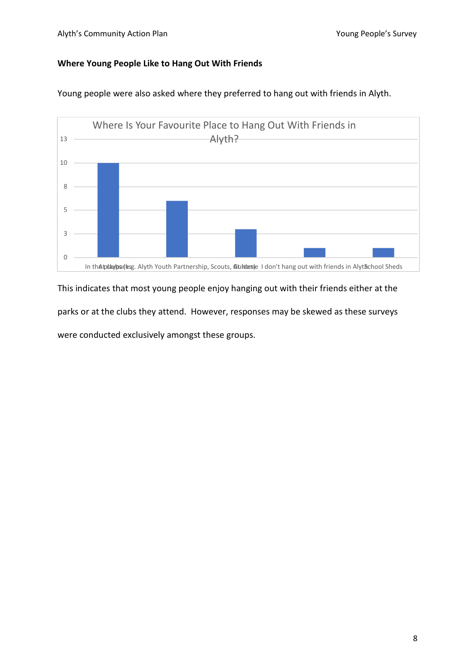## **Where Young People Like to Hang Out With Friends**



Young people were also asked where they preferred to hang out with friends in Alyth.

This indicates that most young people enjoy hanging out with their friends either at the parks or at the clubs they attend. However, responses may be skewed as these surveys were conducted exclusively amongst these groups.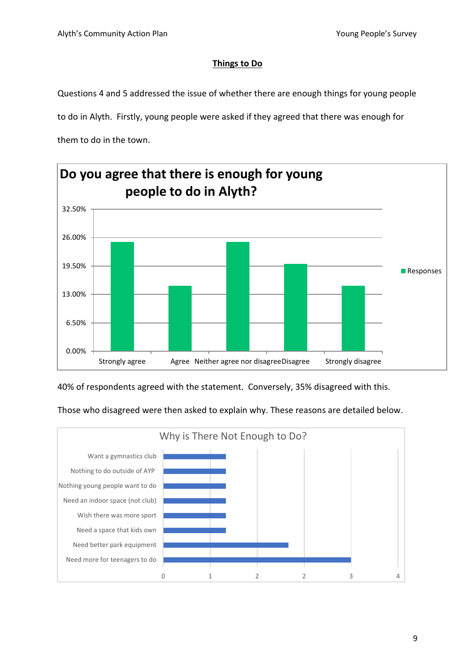# **Things to Do**

Questions 4 and 5 addressed the issue of whether there are enough things for young people

to do in Alyth. Firstly, young people were asked if they agreed that there was enough for

them to do in the town.



40% of respondents agreed with the statement. Conversely, 35% disagreed with this.

Those who disagreed were then asked to explain why. These reasons are detailed below.

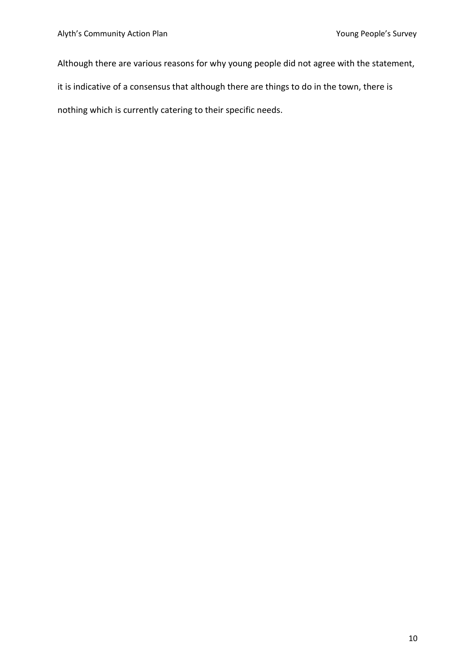Although there are various reasons for why young people did not agree with the statement,

it is indicative of a consensus that although there are things to do in the town, there is

nothing which is currently catering to their specific needs.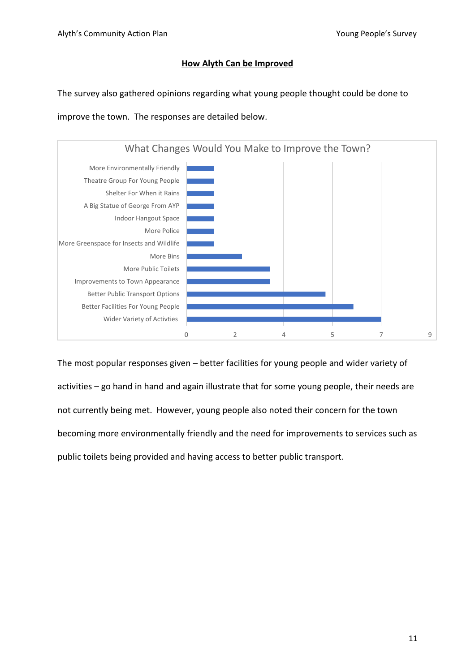## **How Alyth Can be Improved**

The survey also gathered opinions regarding what young people thought could be done to

improve the town. The responses are detailed below.



The most popular responses given – better facilities for young people and wider variety of activities – go hand in hand and again illustrate that for some young people, their needs are not currently being met. However, young people also noted their concern for the town becoming more environmentally friendly and the need for improvements to services such as public toilets being provided and having access to better public transport.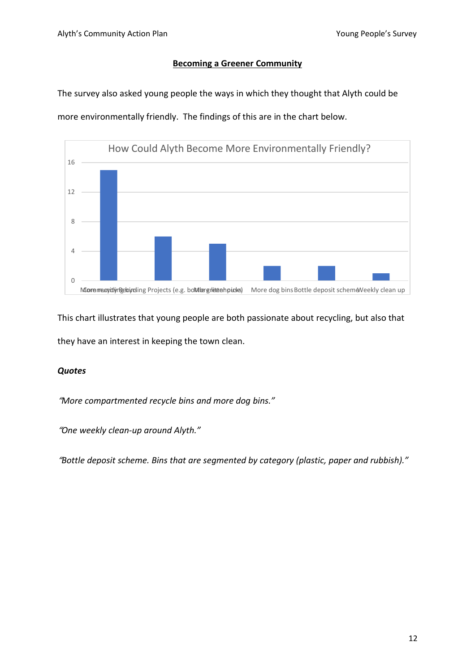#### **Becoming a Greener Community**

The survey also asked young people the ways in which they thought that Alyth could be more environmentally friendly. The findings of this are in the chart below.



This chart illustrates that young people are both passionate about recycling, but also that they have an interest in keeping the town clean.

#### *Quotes*

"*More compartmented recycle bins and more dog bins."*

"*One weekly clean-up around Alyth."*

"*Bottle deposit scheme. Bins that are segmented by category (plastic, paper and rubbish)."*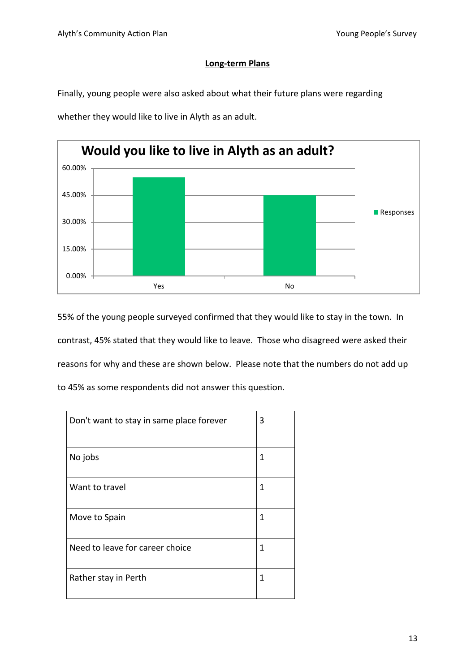## **Long-term Plans**

Finally, young people were also asked about what their future plans were regarding

whether they would like to live in Alyth as an adult.



55% of the young people surveyed confirmed that they would like to stay in the town. In contrast, 45% stated that they would like to leave. Those who disagreed were asked their reasons for why and these are shown below. Please note that the numbers do not add up to 45% as some respondents did not answer this question.

| Don't want to stay in same place forever | 3 |
|------------------------------------------|---|
| No jobs                                  | 1 |
| Want to travel                           | 1 |
| Move to Spain                            | 1 |
| Need to leave for career choice          | 1 |
| Rather stay in Perth                     | 1 |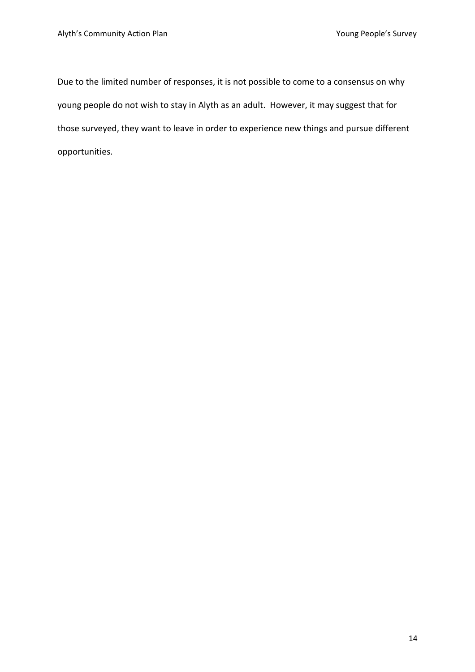Due to the limited number of responses, it is not possible to come to a consensus on why young people do not wish to stay in Alyth as an adult. However, it may suggest that for those surveyed, they want to leave in order to experience new things and pursue different opportunities.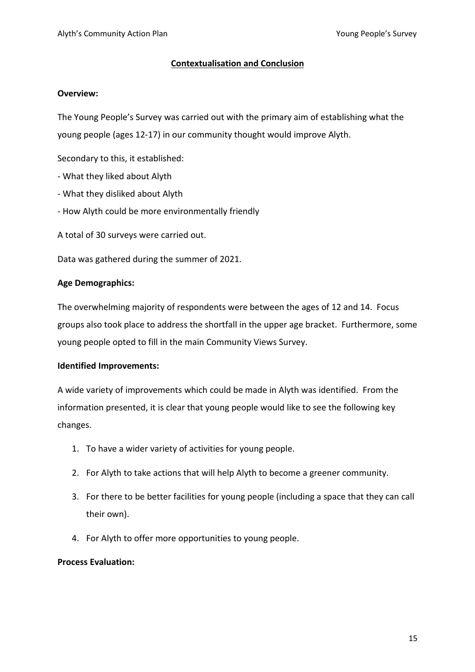#### **Contextualisation and Conclusion**

#### **Overview:**

The Young People's Survey was carried out with the primary aim of establishing what the young people (ages 12-17) in our community thought would improve Alyth.

Secondary to this, it established:

- What they liked about Alyth
- What they disliked about Alyth
- How Alyth could be more environmentally friendly
- A total of 30 surveys were carried out.

Data was gathered during the summer of 2021.

#### **Age Demographics:**

The overwhelming majority of respondents were between the ages of 12 and 14. Focus groups also took place to address the shortfall in the upper age bracket. Furthermore, some young people opted to fill in the main Community Views Survey.

#### **Identified Improvements:**

A wide variety of improvements which could be made in Alyth was identified. From the information presented, it is clear that young people would like to see the following key changes.

- 1. To have a wider variety of activities for young people.
- 2. For Alyth to take actions that will help Alyth to become a greener community.
- 3. For there to be better facilities for young people (including a space that they can call their own).
- 4. For Alyth to offer more opportunities to young people.

#### **Process Evaluation:**